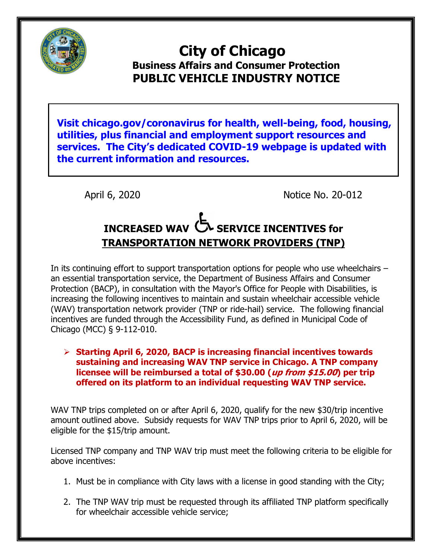

## **City of Chicago Business Affairs and Consumer Protection PUBLIC VEHICLE INDUSTRY NOTICE**

**Visit chicago.gov/coronavirus for health, well-being, food, housing, utilities, plus financial and employment support resources and services. The City's dedicated COVID-19 webpage is updated with the current information and resources.** 

April 6, 2020 **Notice No. 20-012** 

## **INCREASED WAV SERVICE INCENTIVES for TRANSPORTATION NETWORK PROVIDERS (TNP)**

In its continuing effort to support transportation options for people who use wheelchairs – an essential transportation service, the Department of Business Affairs and Consumer Protection (BACP), in consultation with the Mayor's Office for People with Disabilities, is increasing the following incentives to maintain and sustain wheelchair accessible vehicle (WAV) transportation network provider (TNP or ride-hail) service. The following financial incentives are funded through the Accessibility Fund, as defined in Municipal Code of Chicago (MCC) § 9-112-010.

 **Starting April 6, 2020, BACP is increasing financial incentives towards sustaining and increasing WAV TNP service in Chicago. A TNP company licensee will be reimbursed a total of \$30.00 (up from \$15.00) per trip offered on its platform to an individual requesting WAV TNP service.** 

WAV TNP trips completed on or after April 6, 2020, qualify for the new \$30/trip incentive amount outlined above. Subsidy requests for WAV TNP trips prior to April 6, 2020, will be eligible for the \$15/trip amount.

Licensed TNP company and TNP WAV trip must meet the following criteria to be eligible for above incentives:

- 1. Must be in compliance with City laws with a license in good standing with the City;
- 2. The TNP WAV trip must be requested through its affiliated TNP platform specifically for wheelchair accessible vehicle service;